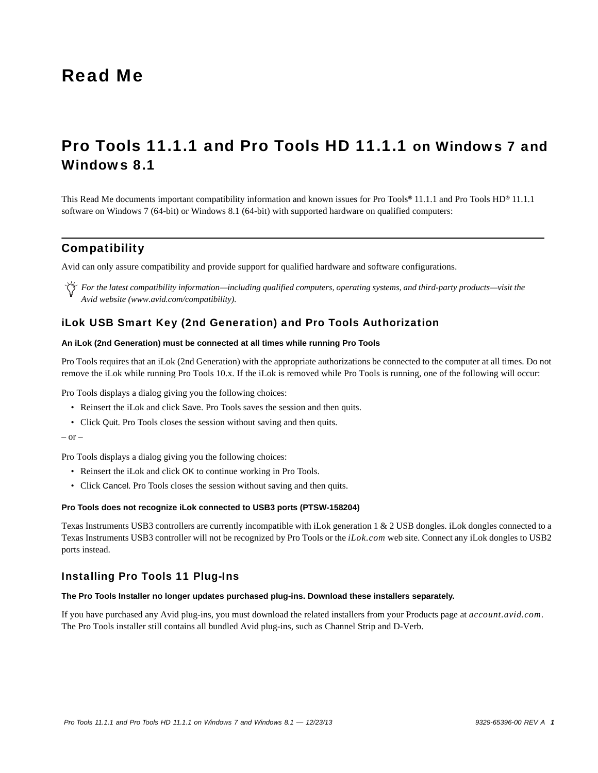# Read Me

# Pro Tools 11.1.1 and Pro Tools HD 11.1.1 on Windows 7 and Windows 8.1

This Read Me documents important compatibility information and known issues for Pro Tools*®* 11.1.1 and Pro Tools HD*®* 11.1.1 software on Windows 7 (64-bit) or Windows 8.1 (64-bit) with supported hardware on qualified computers:

# **Compatibility**

Avid can only assure compatibility and provide support for qualified hardware and software configurations.

*For the latest compatibility information—including qualified computers, operating systems, and third-party products—visit the Avid website (www.avid.com/compatibility).*

# iLok USB Smart Key (2nd Generation) and Pro Tools Authorization

# **An iLok (2nd Generation) must be connected at all times while running Pro Tools**

Pro Tools requires that an iLok (2nd Generation) with the appropriate authorizations be connected to the computer at all times. Do not remove the iLok while running Pro Tools 10.x. If the iLok is removed while Pro Tools is running, one of the following will occur:

Pro Tools displays a dialog giving you the following choices:

- Reinsert the iLok and click Save. Pro Tools saves the session and then quits.
- Click Quit. Pro Tools closes the session without saving and then quits.

#### $-$  or  $-$

Pro Tools displays a dialog giving you the following choices:

- Reinsert the iLok and click OK to continue working in Pro Tools.
- Click Cancel. Pro Tools closes the session without saving and then quits.

#### **Pro Tools does not recognize iLok connected to USB3 ports (PTSW-158204)**

Texas Instruments USB3 controllers are currently incompatible with iLok generation 1 & 2 USB dongles. iLok dongles connected to a Texas Instruments USB3 controller will not be recognized by Pro Tools or the *iLok.com* web site. Connect any iLok dongles to USB2 ports instead.

# Installing Pro Tools 11 Plug-Ins

### **The Pro Tools Installer no longer updates purchased plug-ins. Download these installers separately.**

If you have purchased any Avid plug-ins, you must download the related installers from your Products page at *account.avid.com*. The Pro Tools installer still contains all bundled Avid plug-ins, such as Channel Strip and D-Verb.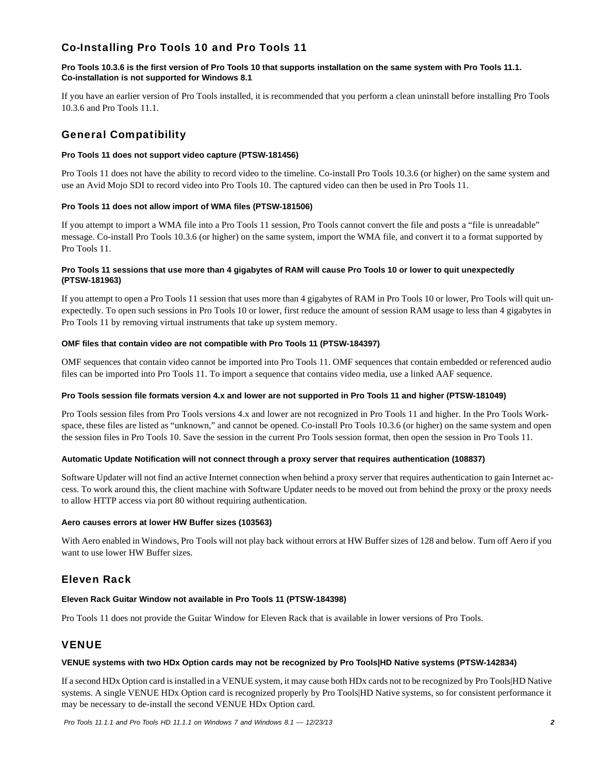# Co-Installing Pro Tools 10 and Pro Tools 11

# **Pro Tools 10.3.6 is the first version of Pro Tools 10 that supports installation on the same system with Pro Tools 11.1. Co-installation is not supported for Windows 8.1**

If you have an earlier version of Pro Tools installed, it is recommended that you perform a clean uninstall before installing Pro Tools 10.3.6 and Pro Tools 11.1.

# General Compatibility

### **Pro Tools 11 does not support video capture (PTSW-181456)**

Pro Tools 11 does not have the ability to record video to the timeline. Co-install Pro Tools 10.3.6 (or higher) on the same system and use an Avid Mojo SDI to record video into Pro Tools 10. The captured video can then be used in Pro Tools 11.

### **Pro Tools 11 does not allow import of WMA files (PTSW-181506)**

If you attempt to import a WMA file into a Pro Tools 11 session, Pro Tools cannot convert the file and posts a "file is unreadable" message. Co-install Pro Tools 10.3.6 (or higher) on the same system, import the WMA file, and convert it to a format supported by Pro Tools 11.

### **Pro Tools 11 sessions that use more than 4 gigabytes of RAM will cause Pro Tools 10 or lower to quit unexpectedly (PTSW-181963)**

If you attempt to open a Pro Tools 11 session that uses more than 4 gigabytes of RAM in Pro Tools 10 or lower, Pro Tools will quit unexpectedly. To open such sessions in Pro Tools 10 or lower, first reduce the amount of session RAM usage to less than 4 gigabytes in Pro Tools 11 by removing virtual instruments that take up system memory.

### **OMF files that contain video are not compatible with Pro Tools 11 (PTSW-184397)**

OMF sequences that contain video cannot be imported into Pro Tools 11. OMF sequences that contain embedded or referenced audio files can be imported into Pro Tools 11. To import a sequence that contains video media, use a linked AAF sequence.

# **Pro Tools session file formats version 4.x and lower are not supported in Pro Tools 11 and higher (PTSW-181049)**

Pro Tools session files from Pro Tools versions 4.x and lower are not recognized in Pro Tools 11 and higher. In the Pro Tools Workspace, these files are listed as "unknown," and cannot be opened. Co-install Pro Tools 10.3.6 (or higher) on the same system and open the session files in Pro Tools 10. Save the session in the current Pro Tools session format, then open the session in Pro Tools 11.

#### **Automatic Update Notification will not connect through a proxy server that requires authentication (108837)**

Software Updater will not find an active Internet connection when behind a proxy server that requires authentication to gain Internet access. To work around this, the client machine with Software Updater needs to be moved out from behind the proxy or the proxy needs to allow HTTP access via port 80 without requiring authentication.

#### **Aero causes errors at lower HW Buffer sizes (103563)**

With Aero enabled in Windows, Pro Tools will not play back without errors at HW Buffer sizes of 128 and below. Turn off Aero if you want to use lower HW Buffer sizes.

# Eleven Rack

# **Eleven Rack Guitar Window not available in Pro Tools 11 (PTSW-184398)**

Pro Tools 11 does not provide the Guitar Window for Eleven Rack that is available in lower versions of Pro Tools.

# VENUE

#### **VENUE systems with two HDx Option cards may not be recognized by Pro Tools|HD Native systems (PTSW-142834)**

If a second HDx Option card is installed in a VENUE system, it may cause both HDx cards not to be recognized by Pro Tools|HD Native systems. A single VENUE HDx Option card is recognized properly by Pro Tools|HD Native systems, so for consistent performance it may be necessary to de-install the second VENUE HDx Option card.

 *Pro Tools 11.1.1 and Pro Tools HD 11.1.1 on Windows 7 and Windows 8.1 — 12/23/13 2*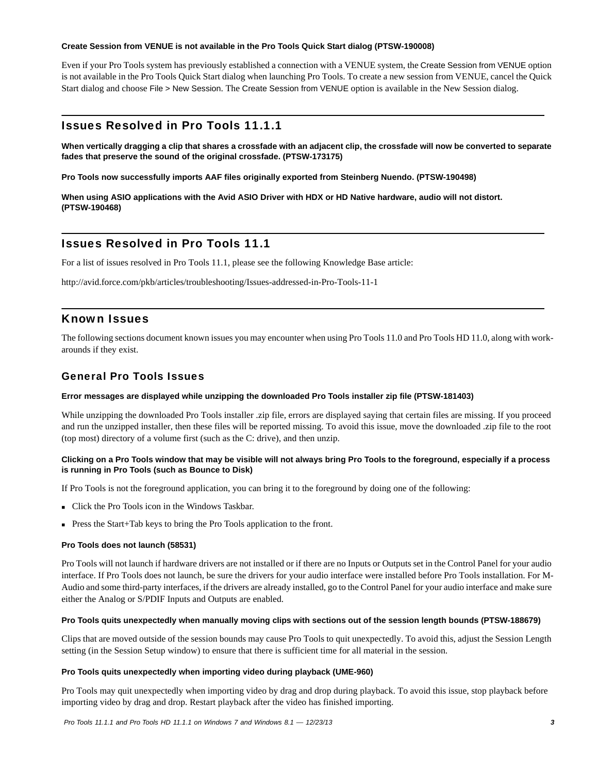### **Create Session from VENUE is not available in the Pro Tools Quick Start dialog (PTSW-190008)**

Even if your Pro Tools system has previously established a connection with a VENUE system, the Create Session from VENUE option is not available in the Pro Tools Quick Start dialog when launching Pro Tools. To create a new session from VENUE, cancel the Quick Start dialog and choose File > New Session. The Create Session from VENUE option is available in the New Session dialog.

# Issues Resolved in Pro Tools 11.1.1

**When vertically dragging a clip that shares a crossfade with an adjacent clip, the crossfade will now be converted to separate fades that preserve the sound of the original crossfade. (PTSW-173175)**

**Pro Tools now successfully imports AAF files originally exported from Steinberg Nuendo. (PTSW-190498)**

**When using ASIO applications with the Avid ASIO Driver with HDX or HD Native hardware, audio will not distort. (PTSW-190468)**

# Issues Resolved in Pro Tools 11.1

For a list of issues resolved in Pro Tools 11.1, please see the following Knowledge Base article:

<http://avid.force.com/pkb/articles/troubleshooting/Issues-addressed-in-Pro-Tools-11-1>

# Known Issues

The following sections document known issues you may encounter when using Pro Tools 11.0 and Pro Tools HD 11.0, along with workarounds if they exist.

# General Pro Tools Issues

#### **Error messages are displayed while unzipping the downloaded Pro Tools installer zip file (PTSW-181403)**

While unzipping the downloaded Pro Tools installer .zip file, errors are displayed saying that certain files are missing. If you proceed and run the unzipped installer, then these files will be reported missing. To avoid this issue, move the downloaded .zip file to the root (top most) directory of a volume first (such as the C: drive), and then unzip.

### **Clicking on a Pro Tools window that may be visible will not always bring Pro Tools to the foreground, especially if a process is running in Pro Tools (such as Bounce to Disk)**

If Pro Tools is not the foreground application, you can bring it to the foreground by doing one of the following:

- Click the Pro Tools icon in the Windows Taskbar.
- Press the Start+Tab keys to bring the Pro Tools application to the front.

# **Pro Tools does not launch (58531)**

Pro Tools will not launch if hardware drivers are not installed or if there are no Inputs or Outputs set in the Control Panel for your audio interface. If Pro Tools does not launch, be sure the drivers for your audio interface were installed before Pro Tools installation. For M-Audio and some third-party interfaces, if the drivers are already installed, go to the Control Panel for your audio interface and make sure either the Analog or S/PDIF Inputs and Outputs are enabled.

#### **Pro Tools quits unexpectedly when manually moving clips with sections out of the session length bounds (PTSW-188679)**

Clips that are moved outside of the session bounds may cause Pro Tools to quit unexpectedly. To avoid this, adjust the Session Length setting (in the Session Setup window) to ensure that there is sufficient time for all material in the session.

#### **Pro Tools quits unexpectedly when importing video during playback (UME-960)**

Pro Tools may quit unexpectedly when importing video by drag and drop during playback. To avoid this issue, stop playback before importing video by drag and drop. Restart playback after the video has finished importing.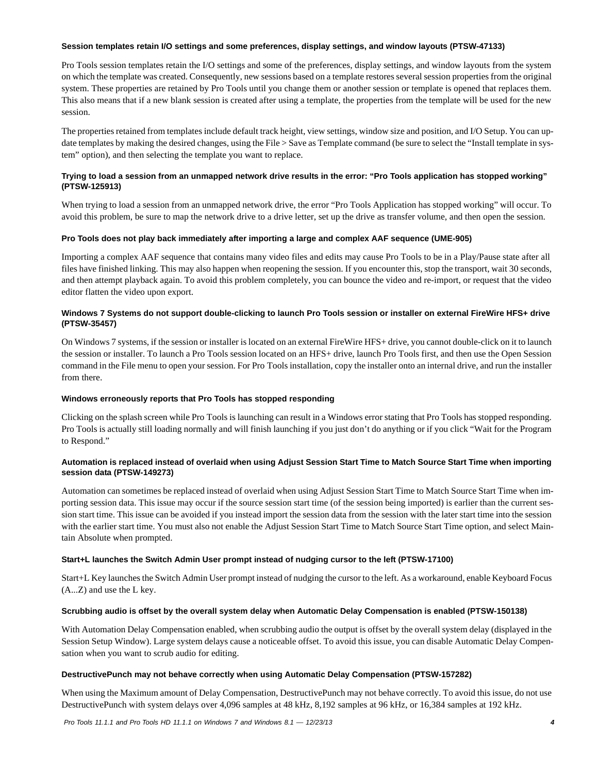#### **Session templates retain I/O settings and some preferences, display settings, and window layouts (PTSW-47133)**

Pro Tools session templates retain the I/O settings and some of the preferences, display settings, and window layouts from the system on which the template was created. Consequently, new sessions based on a template restores several session properties from the original system. These properties are retained by Pro Tools until you change them or another session or template is opened that replaces them. This also means that if a new blank session is created after using a template, the properties from the template will be used for the new session.

The properties retained from templates include default track height, view settings, window size and position, and I/O Setup. You can update templates by making the desired changes, using the File > Save as Template command (be sure to select the "Install template in system" option), and then selecting the template you want to replace.

# **Trying to load a session from an unmapped network drive results in the error: "Pro Tools application has stopped working" (PTSW-125913)**

When trying to load a session from an unmapped network drive, the error "Pro Tools Application has stopped working" will occur. To avoid this problem, be sure to map the network drive to a drive letter, set up the drive as transfer volume, and then open the session.

# **Pro Tools does not play back immediately after importing a large and complex AAF sequence (UME-905)**

Importing a complex AAF sequence that contains many video files and edits may cause Pro Tools to be in a Play/Pause state after all files have finished linking. This may also happen when reopening the session. If you encounter this, stop the transport, wait 30 seconds, and then attempt playback again. To avoid this problem completely, you can bounce the video and re-import, or request that the video editor flatten the video upon export.

# **Windows 7 Systems do not support double-clicking to launch Pro Tools session or installer on external FireWire HFS+ drive (PTSW-35457)**

On Windows 7 systems, if the session or installer is located on an external FireWire HFS+ drive, you cannot double-click on it to launch the session or installer. To launch a Pro Tools session located on an HFS+ drive, launch Pro Tools first, and then use the Open Session command in the File menu to open your session. For Pro Tools installation, copy the installer onto an internal drive, and run the installer from there.

# **Windows erroneously reports that Pro Tools has stopped responding**

Clicking on the splash screen while Pro Tools is launching can result in a Windows error stating that Pro Tools has stopped responding. Pro Tools is actually still loading normally and will finish launching if you just don't do anything or if you click "Wait for the Program to Respond."

# **Automation is replaced instead of overlaid when using Adjust Session Start Time to Match Source Start Time when importing session data (PTSW-149273)**

Automation can sometimes be replaced instead of overlaid when using Adjust Session Start Time to Match Source Start Time when importing session data. This issue may occur if the source session start time (of the session being imported) is earlier than the current session start time. This issue can be avoided if you instead import the session data from the session with the later start time into the session with the earlier start time. You must also not enable the Adjust Session Start Time to Match Source Start Time option, and select Maintain Absolute when prompted.

# **Start+L launches the Switch Admin User prompt instead of nudging cursor to the left (PTSW-17100)**

Start+L Key launches the Switch Admin User prompt instead of nudging the cursor to the left. As a workaround, enable Keyboard Focus (A...Z) and use the L key.

# **Scrubbing audio is offset by the overall system delay when Automatic Delay Compensation is enabled (PTSW-150138)**

With Automation Delay Compensation enabled, when scrubbing audio the output is offset by the overall system delay (displayed in the Session Setup Window). Large system delays cause a noticeable offset. To avoid this issue, you can disable Automatic Delay Compensation when you want to scrub audio for editing.

# **DestructivePunch may not behave correctly when using Automatic Delay Compensation (PTSW-157282)**

When using the Maximum amount of Delay Compensation, DestructivePunch may not behave correctly. To avoid this issue, do not use DestructivePunch with system delays over 4,096 samples at 48 kHz, 8,192 samples at 96 kHz, or 16,384 samples at 192 kHz.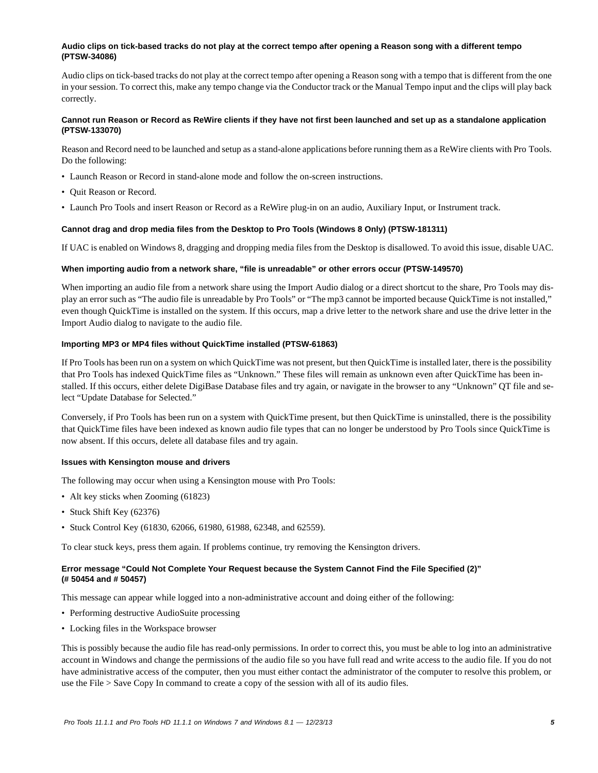### **Audio clips on tick-based tracks do not play at the correct tempo after opening a Reason song with a different tempo (PTSW-34086)**

Audio clips on tick-based tracks do not play at the correct tempo after opening a Reason song with a tempo that is different from the one in your session. To correct this, make any tempo change via the Conductor track or the Manual Tempo input and the clips will play back correctly.

# **Cannot run Reason or Record as ReWire clients if they have not first been launched and set up as a standalone application (PTSW-133070)**

Reason and Record need to be launched and setup as a stand-alone applications before running them as a ReWire clients with Pro Tools. Do the following:

- Launch Reason or Record in stand-alone mode and follow the on-screen instructions.
- Quit Reason or Record.
- Launch Pro Tools and insert Reason or Record as a ReWire plug-in on an audio, Auxiliary Input, or Instrument track.

### **Cannot drag and drop media files from the Desktop to Pro Tools (Windows 8 Only) (PTSW-181311)**

If UAC is enabled on Windows 8, dragging and dropping media files from the Desktop is disallowed. To avoid this issue, disable UAC.

### **When importing audio from a network share, "file is unreadable" or other errors occur (PTSW-149570)**

When importing an audio file from a network share using the Import Audio dialog or a direct shortcut to the share, Pro Tools may display an error such as "The audio file is unreadable by Pro Tools" or "The mp3 cannot be imported because QuickTime is not installed," even though QuickTime is installed on the system. If this occurs, map a drive letter to the network share and use the drive letter in the Import Audio dialog to navigate to the audio file.

### **Importing MP3 or MP4 files without QuickTime installed (PTSW-61863)**

If Pro Tools has been run on a system on which QuickTime was not present, but then QuickTime is installed later, there is the possibility that Pro Tools has indexed QuickTime files as "Unknown." These files will remain as unknown even after QuickTime has been installed. If this occurs, either delete DigiBase Database files and try again, or navigate in the browser to any "Unknown" QT file and select "Update Database for Selected."

Conversely, if Pro Tools has been run on a system with QuickTime present, but then QuickTime is uninstalled, there is the possibility that QuickTime files have been indexed as known audio file types that can no longer be understood by Pro Tools since QuickTime is now absent. If this occurs, delete all database files and try again.

#### **Issues with Kensington mouse and drivers**

The following may occur when using a Kensington mouse with Pro Tools:

- Alt key sticks when Zooming (61823)
- Stuck Shift Key (62376)
- Stuck Control Key (61830, 62066, 61980, 61988, 62348, and 62559).

To clear stuck keys, press them again. If problems continue, try removing the Kensington drivers.

# **Error message "Could Not Complete Your Request because the System Cannot Find the File Specified (2)" (# 50454 and # 50457)**

This message can appear while logged into a non-administrative account and doing either of the following:

- Performing destructive AudioSuite processing
- Locking files in the Workspace browser

This is possibly because the audio file has read-only permissions. In order to correct this, you must be able to log into an administrative account in Windows and change the permissions of the audio file so you have full read and write access to the audio file. If you do not have administrative access of the computer, then you must either contact the administrator of the computer to resolve this problem, or use the File > Save Copy In command to create a copy of the session with all of its audio files.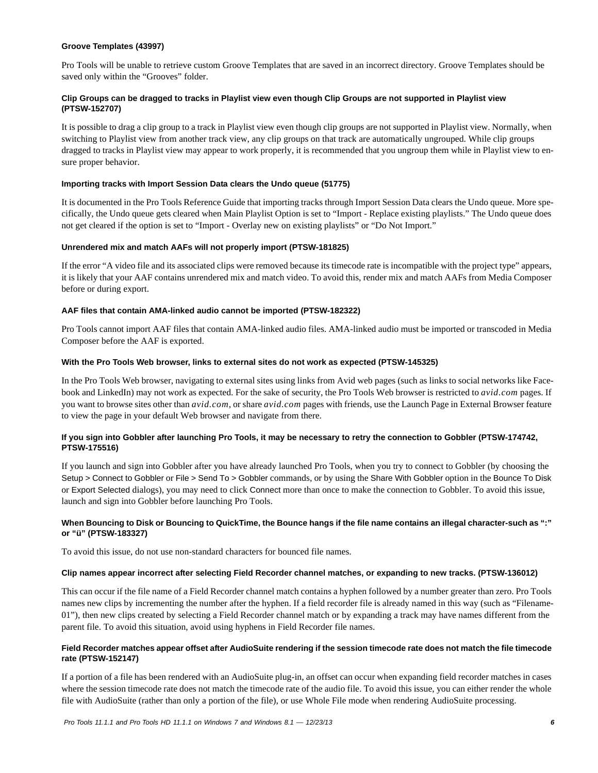### **Groove Templates (43997)**

Pro Tools will be unable to retrieve custom Groove Templates that are saved in an incorrect directory. Groove Templates should be saved only within the "Grooves" folder.

# **Clip Groups can be dragged to tracks in Playlist view even though Clip Groups are not supported in Playlist view (PTSW-152707)**

It is possible to drag a clip group to a track in Playlist view even though clip groups are not supported in Playlist view. Normally, when switching to Playlist view from another track view, any clip groups on that track are automatically ungrouped. While clip groups dragged to tracks in Playlist view may appear to work properly, it is recommended that you ungroup them while in Playlist view to ensure proper behavior.

### **Importing tracks with Import Session Data clears the Undo queue (51775)**

It is documented in the Pro Tools Reference Guide that importing tracks through Import Session Data clears the Undo queue. More specifically, the Undo queue gets cleared when Main Playlist Option is set to "Import - Replace existing playlists." The Undo queue does not get cleared if the option is set to "Import - Overlay new on existing playlists" or "Do Not Import."

### **Unrendered mix and match AAFs will not properly import (PTSW-181825)**

If the error "A video file and its associated clips were removed because its timecode rate is incompatible with the project type" appears, it is likely that your AAF contains unrendered mix and match video. To avoid this, render mix and match AAFs from Media Composer before or during export.

### **AAF files that contain AMA-linked audio cannot be imported (PTSW-182322)**

Pro Tools cannot import AAF files that contain AMA-linked audio files. AMA-linked audio must be imported or transcoded in Media Composer before the AAF is exported.

### **With the Pro Tools Web browser, links to external sites do not work as expected (PTSW-145325)**

In the Pro Tools Web browser, navigating to external sites using links from Avid web pages (such as links to social networks like Facebook and LinkedIn) may not work as expected. For the sake of security, the Pro Tools Web browser is restricted to *avid.com* pages. If you want to browse sites other than *avid.com*, or share *avid.com* pages with friends, use the Launch Page in External Browser feature to view the page in your default Web browser and navigate from there.

# **If you sign into Gobbler after launching Pro Tools, it may be necessary to retry the connection to Gobbler (PTSW-174742, PTSW-175516)**

If you launch and sign into Gobbler after you have already launched Pro Tools, when you try to connect to Gobbler (by choosing the Setup > Connect to Gobbler or File > Send To > Gobbler commands, or by using the Share With Gobbler option in the Bounce To Disk or Export Selected dialogs), you may need to click Connect more than once to make the connection to Gobbler. To avoid this issue, launch and sign into Gobbler before launching Pro Tools.

### **When Bouncing to Disk or Bouncing to QuickTime, the Bounce hangs if the file name contains an illegal character-such as ":" or "ü" (PTSW-183327)**

To avoid this issue, do not use non-standard characters for bounced file names.

# **Clip names appear incorrect after selecting Field Recorder channel matches, or expanding to new tracks. (PTSW-136012)**

This can occur if the file name of a Field Recorder channel match contains a hyphen followed by a number greater than zero. Pro Tools names new clips by incrementing the number after the hyphen. If a field recorder file is already named in this way (such as "Filename-01"), then new clips created by selecting a Field Recorder channel match or by expanding a track may have names different from the parent file. To avoid this situation, avoid using hyphens in Field Recorder file names.

# **Field Recorder matches appear offset after AudioSuite rendering if the session timecode rate does not match the file timecode rate (PTSW-152147)**

If a portion of a file has been rendered with an AudioSuite plug-in, an offset can occur when expanding field recorder matches in cases where the session timecode rate does not match the timecode rate of the audio file. To avoid this issue, you can either render the whole file with AudioSuite (rather than only a portion of the file), or use Whole File mode when rendering AudioSuite processing.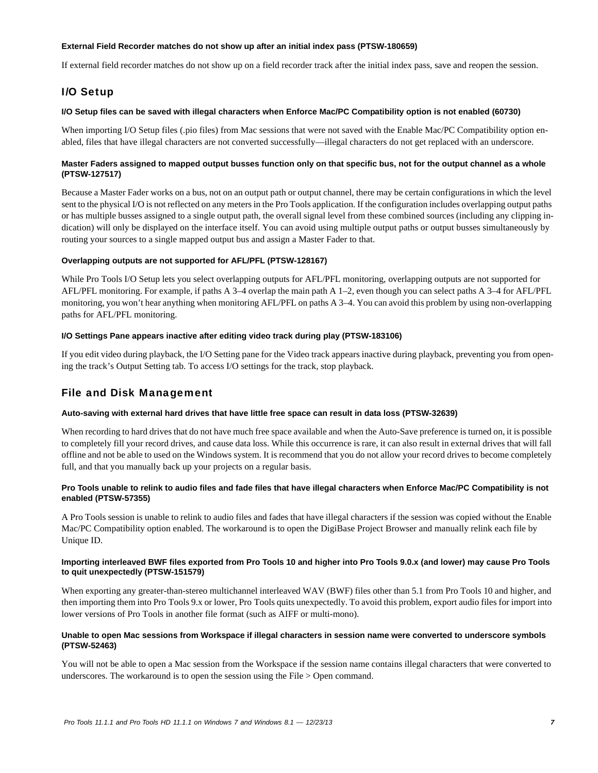### **External Field Recorder matches do not show up after an initial index pass (PTSW-180659)**

If external field recorder matches do not show up on a field recorder track after the initial index pass, save and reopen the session.

# I/O Setup

### **I/O Setup files can be saved with illegal characters when Enforce Mac/PC Compatibility option is not enabled (60730)**

When importing I/O Setup files (.pio files) from Mac sessions that were not saved with the Enable Mac/PC Compatibility option enabled, files that have illegal characters are not converted successfully—illegal characters do not get replaced with an underscore.

### **Master Faders assigned to mapped output busses function only on that specific bus, not for the output channel as a whole (PTSW-127517)**

Because a Master Fader works on a bus, not on an output path or output channel, there may be certain configurations in which the level sent to the physical I/O is not reflected on any meters in the Pro Tools application. If the configuration includes overlapping output paths or has multiple busses assigned to a single output path, the overall signal level from these combined sources (including any clipping indication) will only be displayed on the interface itself. You can avoid using multiple output paths or output busses simultaneously by routing your sources to a single mapped output bus and assign a Master Fader to that.

# **Overlapping outputs are not supported for AFL/PFL (PTSW-128167)**

While Pro Tools I/O Setup lets you select overlapping outputs for AFL/PFL monitoring, overlapping outputs are not supported for AFL/PFL monitoring. For example, if paths A 3–4 overlap the main path A 1–2, even though you can select paths A 3–4 for AFL/PFL monitoring, you won't hear anything when monitoring AFL/PFL on paths A 3–4. You can avoid this problem by using non-overlapping paths for AFL/PFL monitoring.

### **I/O Settings Pane appears inactive after editing video track during play (PTSW-183106)**

If you edit video during playback, the I/O Setting pane for the Video track appears inactive during playback, preventing you from opening the track's Output Setting tab. To access I/O settings for the track, stop playback.

# File and Disk Management

#### **Auto-saving with external hard drives that have little free space can result in data loss (PTSW-32639)**

When recording to hard drives that do not have much free space available and when the Auto-Save preference is turned on, it is possible to completely fill your record drives, and cause data loss. While this occurrence is rare, it can also result in external drives that will fall offline and not be able to used on the Windows system. It is recommend that you do not allow your record drives to become completely full, and that you manually back up your projects on a regular basis.

# **Pro Tools unable to relink to audio files and fade files that have illegal characters when Enforce Mac/PC Compatibility is not enabled (PTSW-57355)**

A Pro Tools session is unable to relink to audio files and fades that have illegal characters if the session was copied without the Enable Mac/PC Compatibility option enabled. The workaround is to open the DigiBase Project Browser and manually relink each file by Unique ID.

### **Importing interleaved BWF files exported from Pro Tools 10 and higher into Pro Tools 9.0.x (and lower) may cause Pro Tools to quit unexpectedly (PTSW-151579)**

When exporting any greater-than-stereo multichannel interleaved WAV (BWF) files other than 5.1 from Pro Tools 10 and higher, and then importing them into Pro Tools 9.x or lower, Pro Tools quits unexpectedly. To avoid this problem, export audio files for import into lower versions of Pro Tools in another file format (such as AIFF or multi-mono).

### **Unable to open Mac sessions from Workspace if illegal characters in session name were converted to underscore symbols (PTSW-52463)**

You will not be able to open a Mac session from the Workspace if the session name contains illegal characters that were converted to underscores. The workaround is to open the session using the File > Open command.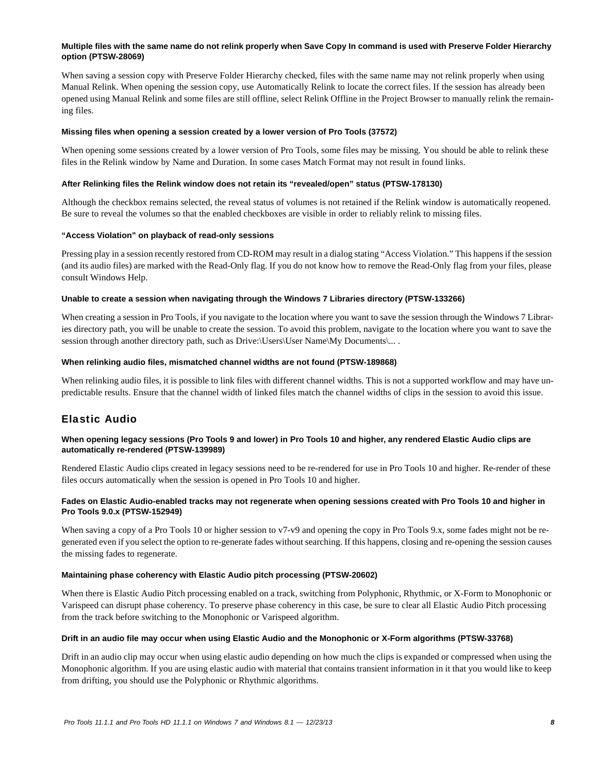### **Multiple files with the same name do not relink properly when Save Copy In command is used with Preserve Folder Hierarchy option (PTSW-28069)**

When saving a session copy with Preserve Folder Hierarchy checked, files with the same name may not relink properly when using Manual Relink. When opening the session copy, use Automatically Relink to locate the correct files. If the session has already been opened using Manual Relink and some files are still offline, select Relink Offline in the Project Browser to manually relink the remaining files.

### **Missing files when opening a session created by a lower version of Pro Tools (37572)**

When opening some sessions created by a lower version of Pro Tools, some files may be missing. You should be able to relink these files in the Relink window by Name and Duration. In some cases Match Format may not result in found links.

### **After Relinking files the Relink window does not retain its "revealed/open" status (PTSW-178130)**

Although the checkbox remains selected, the reveal status of volumes is not retained if the Relink window is automatically reopened. Be sure to reveal the volumes so that the enabled checkboxes are visible in order to reliably relink to missing files.

### **"Access Violation" on playback of read-only sessions**

Pressing play in a session recently restored from CD-ROM may result in a dialog stating "Access Violation." This happens if the session (and its audio files) are marked with the Read-Only flag. If you do not know how to remove the Read-Only flag from your files, please consult Windows Help.

### **Unable to create a session when navigating through the Windows 7 Libraries directory (PTSW-133266)**

When creating a session in Pro Tools, if you navigate to the location where you want to save the session through the Windows 7 Libraries directory path, you will be unable to create the session. To avoid this problem, navigate to the location where you want to save the session through another directory path, such as Drive:\Users\User Name\My Documents\... .

### **When relinking audio files, mismatched channel widths are not found (PTSW-189868)**

When relinking audio files, it is possible to link files with different channel widths. This is not a supported workflow and may have unpredictable results. Ensure that the channel width of linked files match the channel widths of clips in the session to avoid this issue.

# Elastic Audio

# **When opening legacy sessions (Pro Tools 9 and lower) in Pro Tools 10 and higher, any rendered Elastic Audio clips are automatically re-rendered (PTSW-139989)**

Rendered Elastic Audio clips created in legacy sessions need to be re-rendered for use in Pro Tools 10 and higher. Re-render of these files occurs automatically when the session is opened in Pro Tools 10 and higher.

# **Fades on Elastic Audio-enabled tracks may not regenerate when opening sessions created with Pro Tools 10 and higher in Pro Tools 9.0.x (PTSW-152949)**

When saving a copy of a Pro Tools 10 or higher session to v7-v9 and opening the copy in Pro Tools 9.x, some fades might not be regenerated even if you select the option to re-generate fades without searching. If this happens, closing and re-opening the session causes the missing fades to regenerate.

### **Maintaining phase coherency with Elastic Audio pitch processing (PTSW-20602)**

When there is Elastic Audio Pitch processing enabled on a track, switching from Polyphonic, Rhythmic, or X-Form to Monophonic or Varispeed can disrupt phase coherency. To preserve phase coherency in this case, be sure to clear all Elastic Audio Pitch processing from the track before switching to the Monophonic or Varispeed algorithm.

#### **Drift in an audio file may occur when using Elastic Audio and the Monophonic or X-Form algorithms (PTSW-33768)**

Drift in an audio clip may occur when using elastic audio depending on how much the clips is expanded or compressed when using the Monophonic algorithm. If you are using elastic audio with material that contains transient information in it that you would like to keep from drifting, you should use the Polyphonic or Rhythmic algorithms.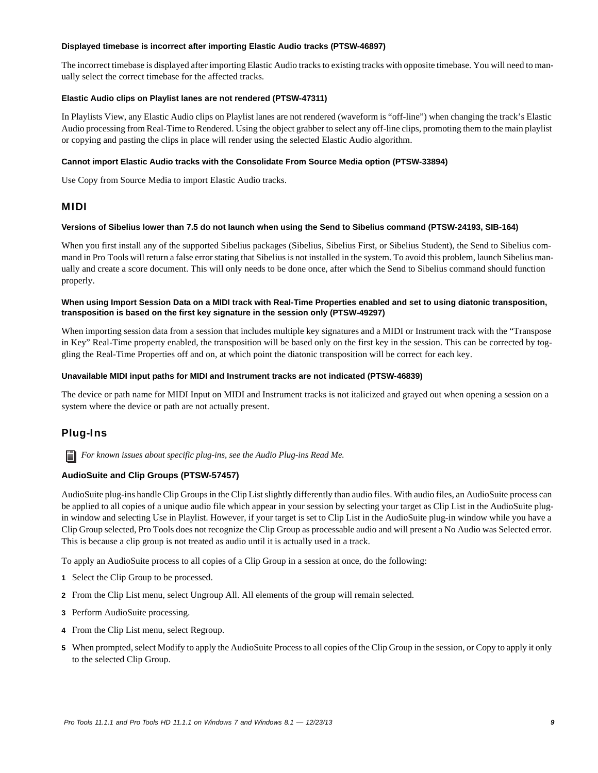#### **Displayed timebase is incorrect after importing Elastic Audio tracks (PTSW-46897)**

The incorrect timebase is displayed after importing Elastic Audio tracks to existing tracks with opposite timebase. You will need to manually select the correct timebase for the affected tracks.

### **Elastic Audio clips on Playlist lanes are not rendered (PTSW-47311)**

In Playlists View, any Elastic Audio clips on Playlist lanes are not rendered (waveform is "off-line") when changing the track's Elastic Audio processing from Real-Time to Rendered. Using the object grabber to select any off-line clips, promoting them to the main playlist or copying and pasting the clips in place will render using the selected Elastic Audio algorithm.

### **Cannot import Elastic Audio tracks with the Consolidate From Source Media option (PTSW-33894)**

Use Copy from Source Media to import Elastic Audio tracks.

# MIDI

#### **Versions of Sibelius lower than 7.5 do not launch when using the Send to Sibelius command (PTSW-24193, SIB-164)**

When you first install any of the supported Sibelius packages (Sibelius, Sibelius First, or Sibelius Student), the Send to Sibelius command in Pro Tools will return a false error stating that Sibelius is not installed in the system. To avoid this problem, launch Sibelius manually and create a score document. This will only needs to be done once, after which the Send to Sibelius command should function properly.

# **When using Import Session Data on a MIDI track with Real-Time Properties enabled and set to using diatonic transposition, transposition is based on the first key signature in the session only (PTSW-49297)**

When importing session data from a session that includes multiple key signatures and a MIDI or Instrument track with the "Transpose in Key" Real-Time property enabled, the transposition will be based only on the first key in the session. This can be corrected by toggling the Real-Time Properties off and on, at which point the diatonic transposition will be correct for each key.

### **Unavailable MIDI input paths for MIDI and Instrument tracks are not indicated (PTSW-46839)**

The device or path name for MIDI Input on MIDI and Instrument tracks is not italicized and grayed out when opening a session on a system where the device or path are not actually present.

# Plug-Ins

*For known issues about specific plug-ins, see the Audio Plug-ins Read Me.*

# **AudioSuite and Clip Groups (PTSW-57457)**

AudioSuite plug-ins handle Clip Groups in the Clip List slightly differently than audio files. With audio files, an AudioSuite process can be applied to all copies of a unique audio file which appear in your session by selecting your target as Clip List in the AudioSuite plugin window and selecting Use in Playlist. However, if your target is set to Clip List in the AudioSuite plug-in window while you have a Clip Group selected, Pro Tools does not recognize the Clip Group as processable audio and will present a No Audio was Selected error. This is because a clip group is not treated as audio until it is actually used in a track.

To apply an AudioSuite process to all copies of a Clip Group in a session at once, do the following:

- **1** Select the Clip Group to be processed.
- **2** From the Clip List menu, select Ungroup All. All elements of the group will remain selected.
- **3** Perform AudioSuite processing.
- **4** From the Clip List menu, select Regroup.
- **5** When prompted, select Modify to apply the AudioSuite Process to all copies of the Clip Group in the session, or Copy to apply it only to the selected Clip Group.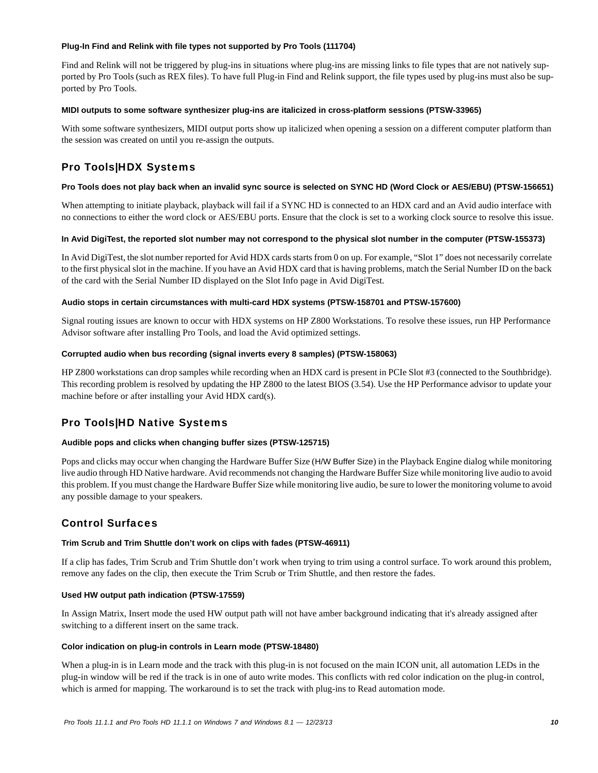### **Plug-In Find and Relink with file types not supported by Pro Tools (111704)**

Find and Relink will not be triggered by plug-ins in situations where plug-ins are missing links to file types that are not natively supported by Pro Tools (such as REX files). To have full Plug-in Find and Relink support, the file types used by plug-ins must also be supported by Pro Tools.

### **MIDI outputs to some software synthesizer plug-ins are italicized in cross-platform sessions (PTSW-33965)**

With some software synthesizers, MIDI output ports show up italicized when opening a session on a different computer platform than the session was created on until you re-assign the outputs.

# Pro Tools|HDX Systems

### **Pro Tools does not play back when an invalid sync source is selected on SYNC HD (Word Clock or AES/EBU) (PTSW-156651)**

When attempting to initiate playback, playback will fail if a SYNC HD is connected to an HDX card and an Avid audio interface with no connections to either the word clock or AES/EBU ports. Ensure that the clock is set to a working clock source to resolve this issue.

# **In Avid DigiTest, the reported slot number may not correspond to the physical slot number in the computer (PTSW-155373)**

In Avid DigiTest, the slot number reported for Avid HDX cards starts from 0 on up. For example, "Slot 1" does not necessarily correlate to the first physical slot in the machine. If you have an Avid HDX card that is having problems, match the Serial Number ID on the back of the card with the Serial Number ID displayed on the Slot Info page in Avid DigiTest.

# **Audio stops in certain circumstances with multi-card HDX systems (PTSW-158701 and PTSW-157600)**

Signal routing issues are known to occur with HDX systems on HP Z800 Workstations. To resolve these issues, run HP Performance Advisor software after installing Pro Tools, and load the Avid optimized settings.

### **Corrupted audio when bus recording (signal inverts every 8 samples) (PTSW-158063)**

HP Z800 workstations can drop samples while recording when an HDX card is present in PCIe Slot #3 (connected to the Southbridge). This recording problem is resolved by updating the HP Z800 to the latest BIOS (3.54). Use the HP Performance advisor to update your machine before or after installing your Avid HDX card(s).

# Pro Tools|HD Native Systems

# **Audible pops and clicks when changing buffer sizes (PTSW-125715)**

Pops and clicks may occur when changing the Hardware Buffer Size (H/W Buffer Size) in the Playback Engine dialog while monitoring live audio through HD Native hardware. Avid recommends not changing the Hardware Buffer Size while monitoring live audio to avoid this problem. If you must change the Hardware Buffer Size while monitoring live audio, be sure to lower the monitoring volume to avoid any possible damage to your speakers.

# Control Surfaces

# **Trim Scrub and Trim Shuttle don't work on clips with fades (PTSW-46911)**

If a clip has fades, Trim Scrub and Trim Shuttle don't work when trying to trim using a control surface. To work around this problem, remove any fades on the clip, then execute the Trim Scrub or Trim Shuttle, and then restore the fades.

# **Used HW output path indication (PTSW-17559)**

In Assign Matrix, Insert mode the used HW output path will not have amber background indicating that it's already assigned after switching to a different insert on the same track.

# **Color indication on plug-in controls in Learn mode (PTSW-18480)**

When a plug-in is in Learn mode and the track with this plug-in is not focused on the main ICON unit, all automation LEDs in the plug-in window will be red if the track is in one of auto write modes. This conflicts with red color indication on the plug-in control, which is armed for mapping. The workaround is to set the track with plug-ins to Read automation mode.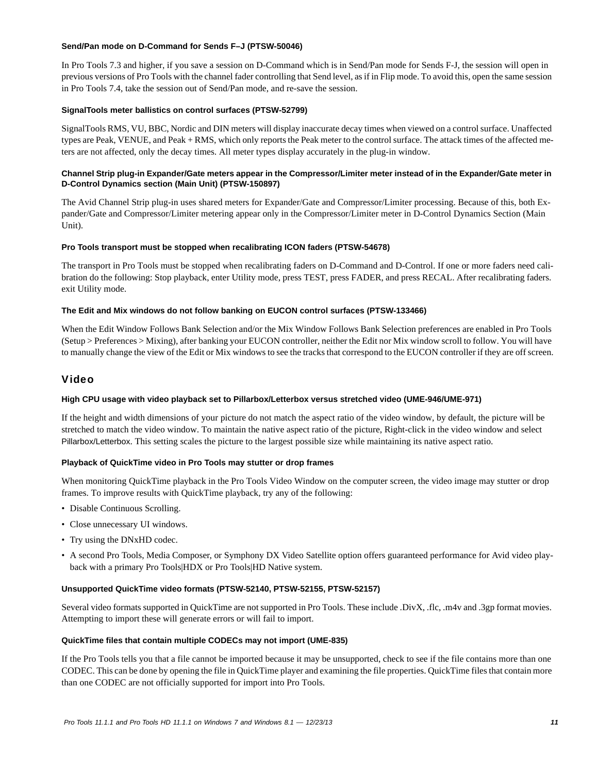### **Send/Pan mode on D-Command for Sends F–J (PTSW-50046)**

In Pro Tools 7.3 and higher, if you save a session on D-Command which is in Send/Pan mode for Sends F-J, the session will open in previous versions of Pro Tools with the channel fader controlling that Send level, as if in Flip mode. To avoid this, open the same session in Pro Tools 7.4, take the session out of Send/Pan mode, and re-save the session.

### **SignalTools meter ballistics on control surfaces (PTSW-52799)**

SignalTools RMS, VU, BBC, Nordic and DIN meters will display inaccurate decay times when viewed on a control surface. Unaffected types are Peak, VENUE, and Peak + RMS, which only reports the Peak meter to the control surface. The attack times of the affected meters are not affected, only the decay times. All meter types display accurately in the plug-in window.

# **Channel Strip plug-in Expander/Gate meters appear in the Compressor/Limiter meter instead of in the Expander/Gate meter in D-Control Dynamics section (Main Unit) (PTSW-150897)**

The Avid Channel Strip plug-in uses shared meters for Expander/Gate and Compressor/Limiter processing. Because of this, both Expander/Gate and Compressor/Limiter metering appear only in the Compressor/Limiter meter in D-Control Dynamics Section (Main Unit).

### **Pro Tools transport must be stopped when recalibrating ICON faders (PTSW-54678)**

The transport in Pro Tools must be stopped when recalibrating faders on D-Command and D-Control. If one or more faders need calibration do the following: Stop playback, enter Utility mode, press TEST, press FADER, and press RECAL. After recalibrating faders. exit Utility mode.

### **The Edit and Mix windows do not follow banking on EUCON control surfaces (PTSW-133466)**

When the Edit Window Follows Bank Selection and/or the Mix Window Follows Bank Selection preferences are enabled in Pro Tools (Setup > Preferences > Mixing), after banking your EUCON controller, neither the Edit nor Mix window scroll to follow. You will have to manually change the view of the Edit or Mix windows to see the tracks that correspond to the EUCON controller if they are off screen.

# Video

# **High CPU usage with video playback set to Pillarbox/Letterbox versus stretched video (UME-946/UME-971)**

If the height and width dimensions of your picture do not match the aspect ratio of the video window, by default, the picture will be stretched to match the video window. To maintain the native aspect ratio of the picture, Right-click in the video window and select Pillarbox/Letterbox. This setting scales the picture to the largest possible size while maintaining its native aspect ratio.

# **Playback of QuickTime video in Pro Tools may stutter or drop frames**

When monitoring QuickTime playback in the Pro Tools Video Window on the computer screen, the video image may stutter or drop frames. To improve results with QuickTime playback, try any of the following:

- Disable Continuous Scrolling.
- Close unnecessary UI windows.
- Try using the DNxHD codec.
- A second Pro Tools, Media Composer, or Symphony DX Video Satellite option offers guaranteed performance for Avid video playback with a primary Pro Tools|HDX or Pro Tools|HD Native system.

#### **Unsupported QuickTime video formats (PTSW-52140, PTSW-52155, PTSW-52157)**

Several video formats supported in QuickTime are not supported in Pro Tools. These include .DivX, .flc, .m4v and .3gp format movies. Attempting to import these will generate errors or will fail to import.

#### **QuickTime files that contain multiple CODECs may not import (UME-835)**

If the Pro Tools tells you that a file cannot be imported because it may be unsupported, check to see if the file contains more than one CODEC. This can be done by opening the file in QuickTime player and examining the file properties. QuickTime files that contain more than one CODEC are not officially supported for import into Pro Tools.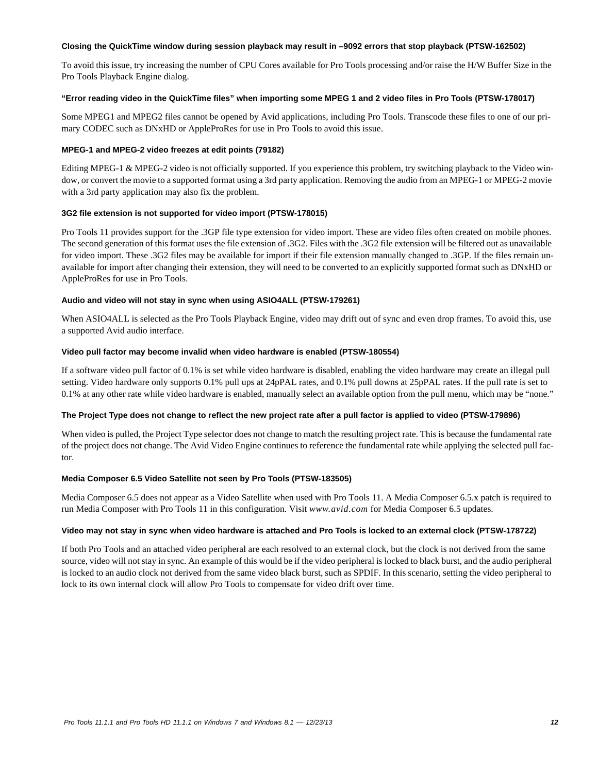#### **Closing the QuickTime window during session playback may result in –9092 errors that stop playback (PTSW-162502)**

To avoid this issue, try increasing the number of CPU Cores available for Pro Tools processing and/or raise the H/W Buffer Size in the Pro Tools Playback Engine dialog.

### **"Error reading video in the QuickTime files" when importing some MPEG 1 and 2 video files in Pro Tools (PTSW-178017)**

Some MPEG1 and MPEG2 files cannot be opened by Avid applications, including Pro Tools. Transcode these files to one of our primary CODEC such as DNxHD or AppleProRes for use in Pro Tools to avoid this issue.

### **MPEG-1 and MPEG-2 video freezes at edit points (79182)**

Editing MPEG-1 & MPEG-2 video is not officially supported. If you experience this problem, try switching playback to the Video window, or convert the movie to a supported format using a 3rd party application. Removing the audio from an MPEG-1 or MPEG-2 movie with a 3rd party application may also fix the problem.

### **3G2 file extension is not supported for video import (PTSW-178015)**

Pro Tools 11 provides support for the .3GP file type extension for video import. These are video files often created on mobile phones. The second generation of this format uses the file extension of .3G2. Files with the .3G2 file extension will be filtered out as unavailable for video import. These .3G2 files may be available for import if their file extension manually changed to .3GP. If the files remain unavailable for import after changing their extension, they will need to be converted to an explicitly supported format such as DNxHD or AppleProRes for use in Pro Tools.

### **Audio and video will not stay in sync when using ASIO4ALL (PTSW-179261)**

When ASIO4ALL is selected as the Pro Tools Playback Engine, video may drift out of sync and even drop frames. To avoid this, use a supported Avid audio interface.

### **Video pull factor may become invalid when video hardware is enabled (PTSW-180554)**

If a software video pull factor of 0.1% is set while video hardware is disabled, enabling the video hardware may create an illegal pull setting. Video hardware only supports 0.1% pull ups at 24pPAL rates, and 0.1% pull downs at 25pPAL rates. If the pull rate is set to 0.1% at any other rate while video hardware is enabled, manually select an available option from the pull menu, which may be "none."

# **The Project Type does not change to reflect the new project rate after a pull factor is applied to video (PTSW-179896)**

When video is pulled, the Project Type selector does not change to match the resulting project rate. This is because the fundamental rate of the project does not change. The Avid Video Engine continues to reference the fundamental rate while applying the selected pull factor.

# **Media Composer 6.5 Video Satellite not seen by Pro Tools (PTSW-183505)**

Media Composer 6.5 does not appear as a Video Satellite when used with Pro Tools 11. A Media Composer 6.5.x patch is required to run Media Composer with Pro Tools 11 in this configuration. Visit *www.avid.com* for Media Composer 6.5 updates.

#### **Video may not stay in sync when video hardware is attached and Pro Tools is locked to an external clock (PTSW-178722)**

If both Pro Tools and an attached video peripheral are each resolved to an external clock, but the clock is not derived from the same source, video will not stay in sync. An example of this would be if the video peripheral is locked to black burst, and the audio peripheral is locked to an audio clock not derived from the same video black burst, such as SPDIF. In this scenario, setting the video peripheral to lock to its own internal clock will allow Pro Tools to compensate for video drift over time.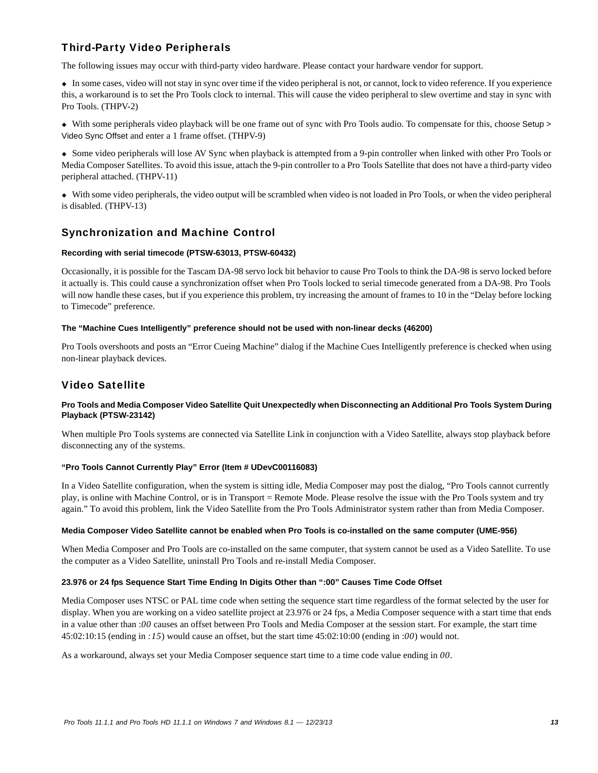# Third-Party Video Peripherals

The following issues may occur with third-party video hardware. Please contact your hardware vendor for support.

 In some cases, video will not stay in sync over time if the video peripheral is not, or cannot, lock to video reference. If you experience this, a workaround is to set the Pro Tools clock to internal. This will cause the video peripheral to slew overtime and stay in sync with Pro Tools. (THPV-2)

 With some peripherals video playback will be one frame out of sync with Pro Tools audio. To compensate for this, choose Setup > Video Sync Offset and enter a 1 frame offset. (THPV-9)

 Some video peripherals will lose AV Sync when playback is attempted from a 9-pin controller when linked with other Pro Tools or Media Composer Satellites. To avoid this issue, attach the 9-pin controller to a Pro Tools Satellite that does not have a third-party video peripheral attached. (THPV-11)

 With some video peripherals, the video output will be scrambled when video is not loaded in Pro Tools, or when the video peripheral is disabled. (THPV-13)

# Synchronization and Machine Control

# **Recording with serial timecode (PTSW-63013, PTSW-60432)**

Occasionally, it is possible for the Tascam DA-98 servo lock bit behavior to cause Pro Tools to think the DA-98 is servo locked before it actually is. This could cause a synchronization offset when Pro Tools locked to serial timecode generated from a DA-98. Pro Tools will now handle these cases, but if you experience this problem, try increasing the amount of frames to 10 in the "Delay before locking to Timecode" preference.

### **The "Machine Cues Intelligently" preference should not be used with non-linear decks (46200)**

Pro Tools overshoots and posts an "Error Cueing Machine" dialog if the Machine Cues Intelligently preference is checked when using non-linear playback devices.

# Video Satellite

### **Pro Tools and Media Composer Video Satellite Quit Unexpectedly when Disconnecting an Additional Pro Tools System During Playback (PTSW-23142)**

When multiple Pro Tools systems are connected via Satellite Link in conjunction with a Video Satellite, always stop playback before disconnecting any of the systems.

# **"Pro Tools Cannot Currently Play" Error (Item # UDevC00116083)**

In a Video Satellite configuration, when the system is sitting idle, Media Composer may post the dialog, "Pro Tools cannot currently play, is online with Machine Control, or is in Transport = Remote Mode. Please resolve the issue with the Pro Tools system and try again." To avoid this problem, link the Video Satellite from the Pro Tools Administrator system rather than from Media Composer.

#### **Media Composer Video Satellite cannot be enabled when Pro Tools is co-installed on the same computer (UME-956)**

When Media Composer and Pro Tools are co-installed on the same computer, that system cannot be used as a Video Satellite. To use the computer as a Video Satellite, uninstall Pro Tools and re-install Media Composer.

#### **23.976 or 24 fps Sequence Start Time Ending In Digits Other than ":00" Causes Time Code Offset**

Media Composer uses NTSC or PAL time code when setting the sequence start time regardless of the format selected by the user for display. When you are working on a video satellite project at 23.976 or 24 fps, a Media Composer sequence with a start time that ends in a value other than :*00* causes an offset between Pro Tools and Media Composer at the session start. For example, the start time 45:02:10:15 (ending in *:15*) would cause an offset, but the start time 45:02:10:00 (ending in :*00*) would not.

As a workaround, always set your Media Composer sequence start time to a time code value ending in *00*.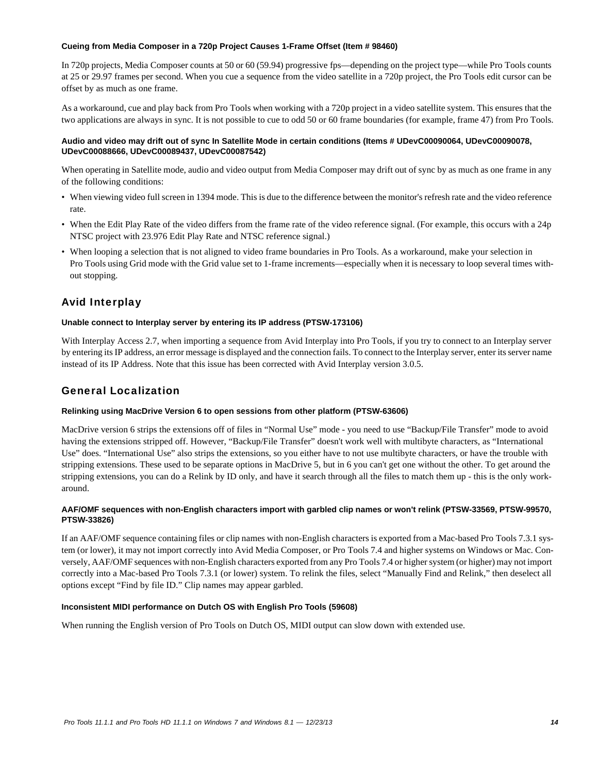### **Cueing from Media Composer in a 720p Project Causes 1-Frame Offset (Item # 98460)**

In 720p projects, Media Composer counts at 50 or 60 (59.94) progressive fps—depending on the project type—while Pro Tools counts at 25 or 29.97 frames per second. When you cue a sequence from the video satellite in a 720p project, the Pro Tools edit cursor can be offset by as much as one frame.

As a workaround, cue and play back from Pro Tools when working with a 720p project in a video satellite system. This ensures that the two applications are always in sync. It is not possible to cue to odd 50 or 60 frame boundaries (for example, frame 47) from Pro Tools.

### **Audio and video may drift out of sync In Satellite Mode in certain conditions (Items # UDevC00090064, UDevC00090078, UDevC00088666, UDevC00089437, UDevC00087542)**

When operating in Satellite mode, audio and video output from Media Composer may drift out of sync by as much as one frame in any of the following conditions:

- When viewing video full screen in 1394 mode. This is due to the difference between the monitor's refresh rate and the video reference rate.
- When the Edit Play Rate of the video differs from the frame rate of the video reference signal. (For example, this occurs with a 24p NTSC project with 23.976 Edit Play Rate and NTSC reference signal.)
- When looping a selection that is not aligned to video frame boundaries in Pro Tools. As a workaround, make your selection in Pro Tools using Grid mode with the Grid value set to 1-frame increments—especially when it is necessary to loop several times without stopping.

# Avid Interplay

### **Unable connect to Interplay server by entering its IP address (PTSW-173106)**

With Interplay Access 2.7, when importing a sequence from Avid Interplay into Pro Tools, if you try to connect to an Interplay server by entering its IP address, an error message is displayed and the connection fails. To connect to the Interplay server, enter its server name instead of its IP Address. Note that this issue has been corrected with Avid Interplay version 3.0.5.

# General Localization

# **Relinking using MacDrive Version 6 to open sessions from other platform (PTSW-63606)**

MacDrive version 6 strips the extensions off of files in "Normal Use" mode - you need to use "Backup/File Transfer" mode to avoid having the extensions stripped off. However, "Backup/File Transfer" doesn't work well with multibyte characters, as "International Use" does. "International Use" also strips the extensions, so you either have to not use multibyte characters, or have the trouble with stripping extensions. These used to be separate options in MacDrive 5, but in 6 you can't get one without the other. To get around the stripping extensions, you can do a Relink by ID only, and have it search through all the files to match them up - this is the only workaround.

# **AAF/OMF sequences with non-English characters import with garbled clip names or won't relink (PTSW-33569, PTSW-99570, PTSW-33826)**

If an AAF/OMF sequence containing files or clip names with non-English characters is exported from a Mac-based Pro Tools 7.3.1 system (or lower), it may not import correctly into Avid Media Composer, or Pro Tools 7.4 and higher systems on Windows or Mac. Conversely, AAF/OMF sequences with non-English characters exported from any Pro Tools 7.4 or higher system (or higher) may not import correctly into a Mac-based Pro Tools 7.3.1 (or lower) system. To relink the files, select "Manually Find and Relink," then deselect all options except "Find by file ID." Clip names may appear garbled.

# **Inconsistent MIDI performance on Dutch OS with English Pro Tools (59608)**

When running the English version of Pro Tools on Dutch OS, MIDI output can slow down with extended use.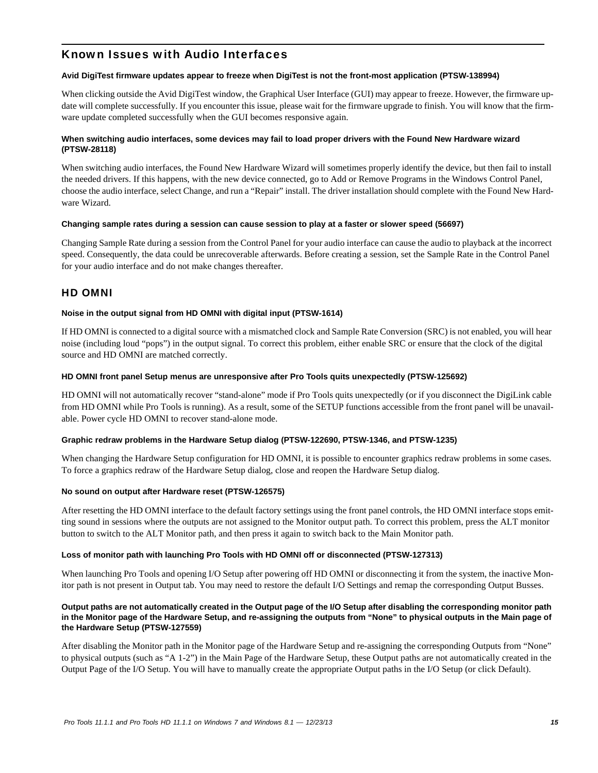# Known Issues with Audio Interfaces

### **Avid DigiTest firmware updates appear to freeze when DigiTest is not the front-most application (PTSW-138994)**

When clicking outside the Avid DigiTest window, the Graphical User Interface (GUI) may appear to freeze. However, the firmware update will complete successfully. If you encounter this issue, please wait for the firmware upgrade to finish. You will know that the firmware update completed successfully when the GUI becomes responsive again.

# **When switching audio interfaces, some devices may fail to load proper drivers with the Found New Hardware wizard (PTSW-28118)**

When switching audio interfaces, the Found New Hardware Wizard will sometimes properly identify the device, but then fail to install the needed drivers. If this happens, with the new device connected, go to Add or Remove Programs in the Windows Control Panel, choose the audio interface, select Change, and run a "Repair" install. The driver installation should complete with the Found New Hardware Wizard.

### **Changing sample rates during a session can cause session to play at a faster or slower speed (56697)**

Changing Sample Rate during a session from the Control Panel for your audio interface can cause the audio to playback at the incorrect speed. Consequently, the data could be unrecoverable afterwards. Before creating a session, set the Sample Rate in the Control Panel for your audio interface and do not make changes thereafter.

# HD OMNI

### **Noise in the output signal from HD OMNI with digital input (PTSW-1614)**

If HD OMNI is connected to a digital source with a mismatched clock and Sample Rate Conversion (SRC) is not enabled, you will hear noise (including loud "pops") in the output signal. To correct this problem, either enable SRC or ensure that the clock of the digital source and HD OMNI are matched correctly.

### **HD OMNI front panel Setup menus are unresponsive after Pro Tools quits unexpectedly (PTSW-125692)**

HD OMNI will not automatically recover "stand-alone" mode if Pro Tools quits unexpectedly (or if you disconnect the DigiLink cable from HD OMNI while Pro Tools is running). As a result, some of the SETUP functions accessible from the front panel will be unavailable. Power cycle HD OMNI to recover stand-alone mode.

# **Graphic redraw problems in the Hardware Setup dialog (PTSW-122690, PTSW-1346, and PTSW-1235)**

When changing the Hardware Setup configuration for HD OMNI, it is possible to encounter graphics redraw problems in some cases. To force a graphics redraw of the Hardware Setup dialog, close and reopen the Hardware Setup dialog.

#### **No sound on output after Hardware reset (PTSW-126575)**

After resetting the HD OMNI interface to the default factory settings using the front panel controls, the HD OMNI interface stops emitting sound in sessions where the outputs are not assigned to the Monitor output path. To correct this problem, press the ALT monitor button to switch to the ALT Monitor path, and then press it again to switch back to the Main Monitor path.

# **Loss of monitor path with launching Pro Tools with HD OMNI off or disconnected (PTSW-127313)**

When launching Pro Tools and opening I/O Setup after powering off HD OMNI or disconnecting it from the system, the inactive Monitor path is not present in Output tab. You may need to restore the default I/O Settings and remap the corresponding Output Busses.

### **Output paths are not automatically created in the Output page of the I/O Setup after disabling the corresponding monitor path in the Monitor page of the Hardware Setup, and re-assigning the outputs from "None" to physical outputs in the Main page of the Hardware Setup (PTSW-127559)**

After disabling the Monitor path in the Monitor page of the Hardware Setup and re-assigning the corresponding Outputs from "None" to physical outputs (such as "A 1-2") in the Main Page of the Hardware Setup, these Output paths are not automatically created in the Output Page of the I/O Setup. You will have to manually create the appropriate Output paths in the I/O Setup (or click Default).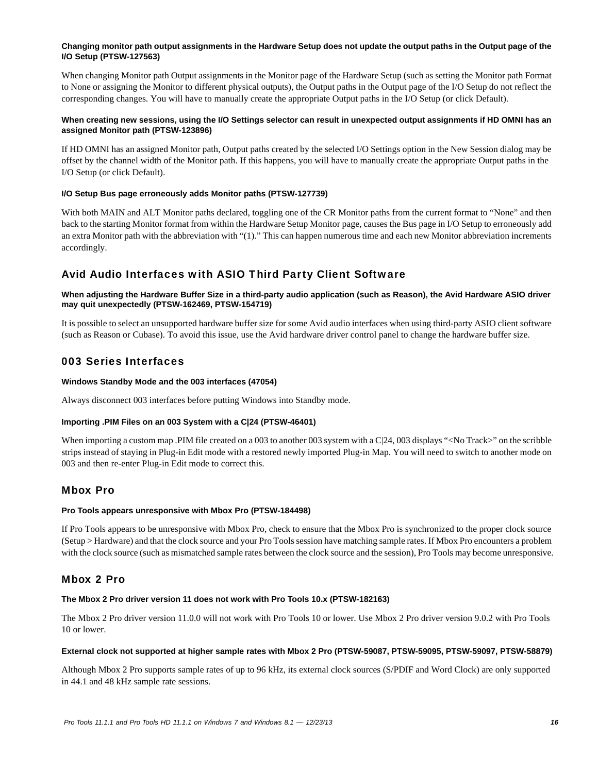# **Changing monitor path output assignments in the Hardware Setup does not update the output paths in the Output page of the I/O Setup (PTSW-127563)**

When changing Monitor path Output assignments in the Monitor page of the Hardware Setup (such as setting the Monitor path Format to None or assigning the Monitor to different physical outputs), the Output paths in the Output page of the I/O Setup do not reflect the corresponding changes. You will have to manually create the appropriate Output paths in the I/O Setup (or click Default).

# **When creating new sessions, using the I/O Settings selector can result in unexpected output assignments if HD OMNI has an assigned Monitor path (PTSW-123896)**

If HD OMNI has an assigned Monitor path, Output paths created by the selected I/O Settings option in the New Session dialog may be offset by the channel width of the Monitor path. If this happens, you will have to manually create the appropriate Output paths in the I/O Setup (or click Default).

# **I/O Setup Bus page erroneously adds Monitor paths (PTSW-127739)**

With both MAIN and ALT Monitor paths declared, toggling one of the CR Monitor paths from the current format to "None" and then back to the starting Monitor format from within the Hardware Setup Monitor page, causes the Bus page in I/O Setup to erroneously add an extra Monitor path with the abbreviation with "(1)." This can happen numerous time and each new Monitor abbreviation increments accordingly.

# Avid Audio Interfaces with ASIO Third Party Client Software

# **When adjusting the Hardware Buffer Size in a third-party audio application (such as Reason), the Avid Hardware ASIO driver may quit unexpectedly (PTSW-162469, PTSW-154719)**

It is possible to select an unsupported hardware buffer size for some Avid audio interfaces when using third-party ASIO client software (such as Reason or Cubase). To avoid this issue, use the Avid hardware driver control panel to change the hardware buffer size.

# 003 Series Interfaces

# **Windows Standby Mode and the 003 interfaces (47054)**

Always disconnect 003 interfaces before putting Windows into Standby mode.

# **Importing .PIM Files on an 003 System with a C|24 (PTSW-46401)**

When importing a custom map .PIM file created on a 003 to another 003 system with a C|24, 003 displays "<No Track>" on the scribble strips instead of staying in Plug-in Edit mode with a restored newly imported Plug-in Map. You will need to switch to another mode on 003 and then re-enter Plug-in Edit mode to correct this.

# Mbox Pro

# **Pro Tools appears unresponsive with Mbox Pro (PTSW-184498)**

If Pro Tools appears to be unresponsive with Mbox Pro, check to ensure that the Mbox Pro is synchronized to the proper clock source (Setup > Hardware) and that the clock source and your Pro Tools session have matching sample rates. If Mbox Pro encounters a problem with the clock source (such as mismatched sample rates between the clock source and the session), Pro Tools may become unresponsive.

# Mbox 2 Pro

# **The Mbox 2 Pro driver version 11 does not work with Pro Tools 10.x (PTSW-182163)**

The Mbox 2 Pro driver version 11.0.0 will not work with Pro Tools 10 or lower. Use Mbox 2 Pro driver version 9.0.2 with Pro Tools 10 or lower.

#### **External clock not supported at higher sample rates with Mbox 2 Pro (PTSW-59087, PTSW-59095, PTSW-59097, PTSW-58879)**

Although Mbox 2 Pro supports sample rates of up to 96 kHz, its external clock sources (S/PDIF and Word Clock) are only supported in 44.1 and 48 kHz sample rate sessions.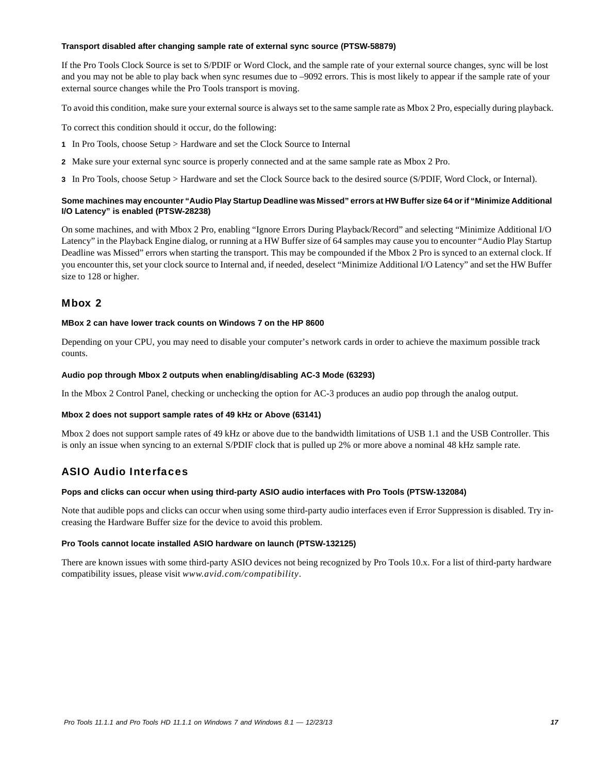#### **Transport disabled after changing sample rate of external sync source (PTSW-58879)**

If the Pro Tools Clock Source is set to S/PDIF or Word Clock, and the sample rate of your external source changes, sync will be lost and you may not be able to play back when sync resumes due to –9092 errors. This is most likely to appear if the sample rate of your external source changes while the Pro Tools transport is moving.

To avoid this condition, make sure your external source is always set to the same sample rate as Mbox 2 Pro, especially during playback.

To correct this condition should it occur, do the following:

- **1** In Pro Tools, choose Setup > Hardware and set the Clock Source to Internal
- **2** Make sure your external sync source is properly connected and at the same sample rate as Mbox 2 Pro.
- **3** In Pro Tools, choose Setup > Hardware and set the Clock Source back to the desired source (S/PDIF, Word Clock, or Internal).

# **Some machines may encounter "Audio Play Startup Deadline was Missed" errors at HW Buffer size 64 or if "Minimize Additional I/O Latency" is enabled (PTSW-28238)**

On some machines, and with Mbox 2 Pro, enabling "Ignore Errors During Playback/Record" and selecting "Minimize Additional I/O Latency" in the Playback Engine dialog, or running at a HW Buffer size of 64 samples may cause you to encounter "Audio Play Startup Deadline was Missed" errors when starting the transport. This may be compounded if the Mbox 2 Pro is synced to an external clock. If you encounter this, set your clock source to Internal and, if needed, deselect "Minimize Additional I/O Latency" and set the HW Buffer size to 128 or higher.

# Mbox 2

#### **MBox 2 can have lower track counts on Windows 7 on the HP 8600**

Depending on your CPU, you may need to disable your computer's network cards in order to achieve the maximum possible track counts.

### **Audio pop through Mbox 2 outputs when enabling/disabling AC-3 Mode (63293)**

In the Mbox 2 Control Panel, checking or unchecking the option for AC-3 produces an audio pop through the analog output.

# **Mbox 2 does not support sample rates of 49 kHz or Above (63141)**

Mbox 2 does not support sample rates of 49 kHz or above due to the bandwidth limitations of USB 1.1 and the USB Controller. This is only an issue when syncing to an external S/PDIF clock that is pulled up 2% or more above a nominal 48 kHz sample rate.

# ASIO Audio Interfaces

#### **Pops and clicks can occur when using third-party ASIO audio interfaces with Pro Tools (PTSW-132084)**

Note that audible pops and clicks can occur when using some third-party audio interfaces even if Error Suppression is disabled. Try increasing the Hardware Buffer size for the device to avoid this problem.

#### **Pro Tools cannot locate installed ASIO hardware on launch (PTSW-132125)**

There are known issues with some third-party ASIO devices not being recognized by Pro Tools 10.x. For a list of third-party hardware compatibility issues, please visit *www.avid.com/compatibility*.